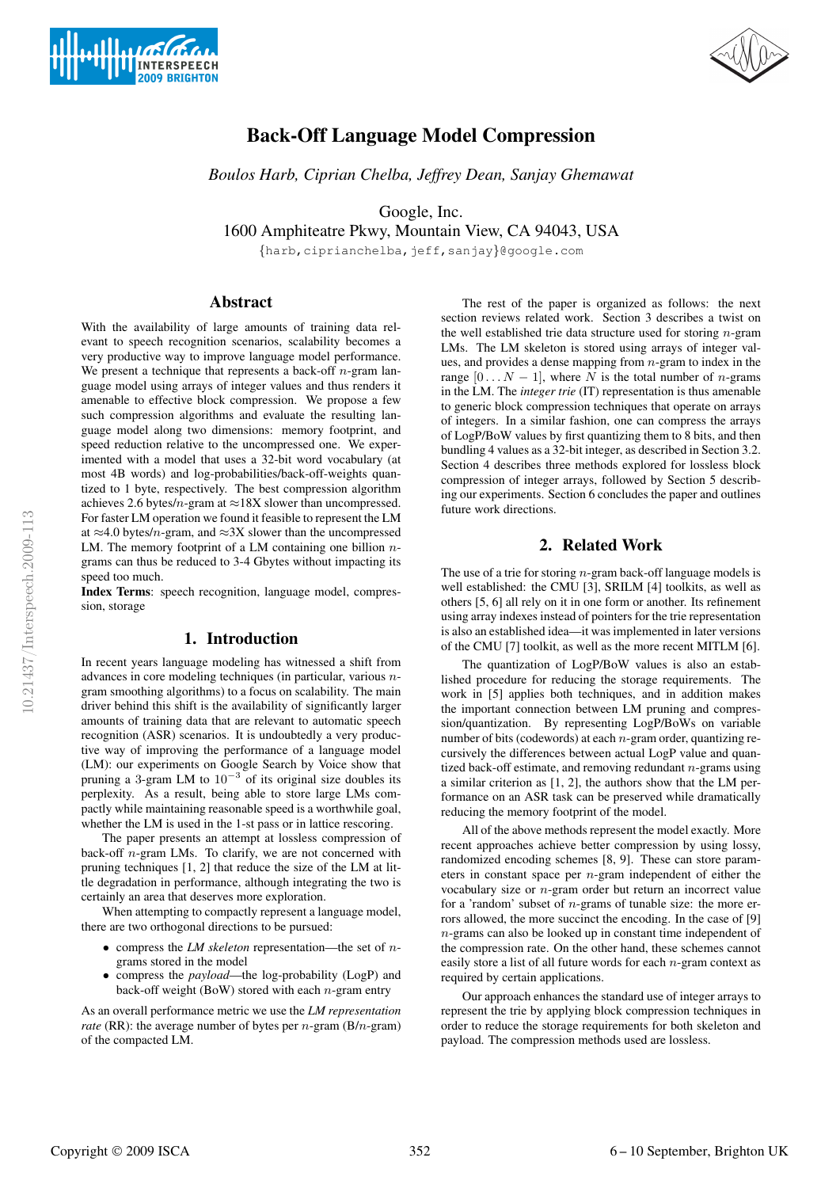



# Back-Off Language Model Compression

*Boulos Harb, Ciprian Chelba, Jeffrey Dean, Sanjay Ghemawat*

Google, Inc.

1600 Amphiteatre Pkwy, Mountain View, CA 94043, USA

{harb,ciprianchelba,jeff,sanjay}@google.com

# Abstract

With the availability of large amounts of training data relevant to speech recognition scenarios, scalability becomes a very productive way to improve language model performance. We present a technique that represents a back-off  $n$ -gram language model using arrays of integer values and thus renders it amenable to effective block compression. We propose a few such compression algorithms and evaluate the resulting language model along two dimensions: memory footprint, and speed reduction relative to the uncompressed one. We experimented with a model that uses a 32-bit word vocabulary (at most 4B words) and log-probabilities/back-off-weights quantized to 1 byte, respectively. The best compression algorithm achieves 2.6 bytes/n-gram at  $\approx$ 18X slower than uncompressed. For faster LM operation we found it feasible to represent the LM at  $\approx$ 4.0 bytes/n-gram, and  $\approx$ 3X slower than the uncompressed LM. The memory footprint of a LM containing one billion  $n$ grams can thus be reduced to 3-4 Gbytes without impacting its speed too much.

Index Terms: speech recognition, language model, compression, storage

# 1. Introduction

In recent years language modeling has witnessed a shift from advances in core modeling techniques (in particular, various ngram smoothing algorithms) to a focus on scalability. The main driver behind this shift is the availability of significantly larger amounts of training data that are relevant to automatic speech recognition (ASR) scenarios. It is undoubtedly a very productive way of improving the performance of a language model (LM): our experiments on Google Search by Voice show that pruning a 3-gram LM to  $10^{-3}$  of its original size doubles its perplexity. As a result, being able to store large LMs compactly while maintaining reasonable speed is a worthwhile goal, whether the LM is used in the 1-st pass or in lattice rescoring.

The paper presents an attempt at lossless compression of back-off  $n$ -gram LMs. To clarify, we are not concerned with pruning techniques [1, 2] that reduce the size of the LM at little degradation in performance, although integrating the two is certainly an area that deserves more exploration.

When attempting to compactly represent a language model, there are two orthogonal directions to be pursued:

- compress the *LM skeleton* representation—the set of ngrams stored in the model
- compress the *payload*—the log-probability (LogP) and back-off weight (BoW) stored with each  $n$ -gram entry

As an overall performance metric we use the *LM representation rate* (RR): the average number of bytes per *n*-gram (B/*n*-gram) of the compacted LM.

The rest of the paper is organized as follows: the next section reviews related work. Section 3 describes a twist on the well established trie data structure used for storing  $n$ -gram LMs. The LM skeleton is stored using arrays of integer values, and provides a dense mapping from  $n$ -gram to index in the range  $[0 \t N - 1]$ , where N is the total number of n-grams in the LM. The *integer trie* (IT) representation is thus amenable to generic block compression techniques that operate on arrays of integers. In a similar fashion, one can compress the arrays of LogP/BoW values by first quantizing them to 8 bits, and then bundling 4 values as a 32-bit integer, as described in Section 3.2. Section 4 describes three methods explored for lossless block compression of integer arrays, followed by Section 5 describing our experiments. Section 6 concludes the paper and outlines future work directions.

# 2. Related Work

The use of a trie for storing  $n$ -gram back-off language models is well established: the CMU [3], SRILM [4] toolkits, as well as others [5, 6] all rely on it in one form or another. Its refinement using array indexes instead of pointers for the trie representation is also an established idea—it was implemented in later versions of the CMU [7] toolkit, as well as the more recent MITLM [6].

The quantization of LogP/BoW values is also an established procedure for reducing the storage requirements. The work in [5] applies both techniques, and in addition makes the important connection between LM pruning and compression/quantization. By representing LogP/BoWs on variable number of bits (codewords) at each n-gram order, quantizing recursively the differences between actual LogP value and quantized back-off estimate, and removing redundant  $n$ -grams using a similar criterion as [1, 2], the authors show that the LM performance on an ASR task can be preserved while dramatically reducing the memory footprint of the model.

All of the above methods represent the model exactly. More recent approaches achieve better compression by using lossy, randomized encoding schemes [8, 9]. These can store parameters in constant space per  $n$ -gram independent of either the vocabulary size or n-gram order but return an incorrect value for a 'random' subset of  $n$ -grams of tunable size: the more errors allowed, the more succinct the encoding. In the case of [9] n-grams can also be looked up in constant time independent of the compression rate. On the other hand, these schemes cannot easily store a list of all future words for each n-gram context as required by certain applications.

Our approach enhances the standard use of integer arrays to represent the trie by applying block compression techniques in order to reduce the storage requirements for both skeleton and payload. The compression methods used are lossless.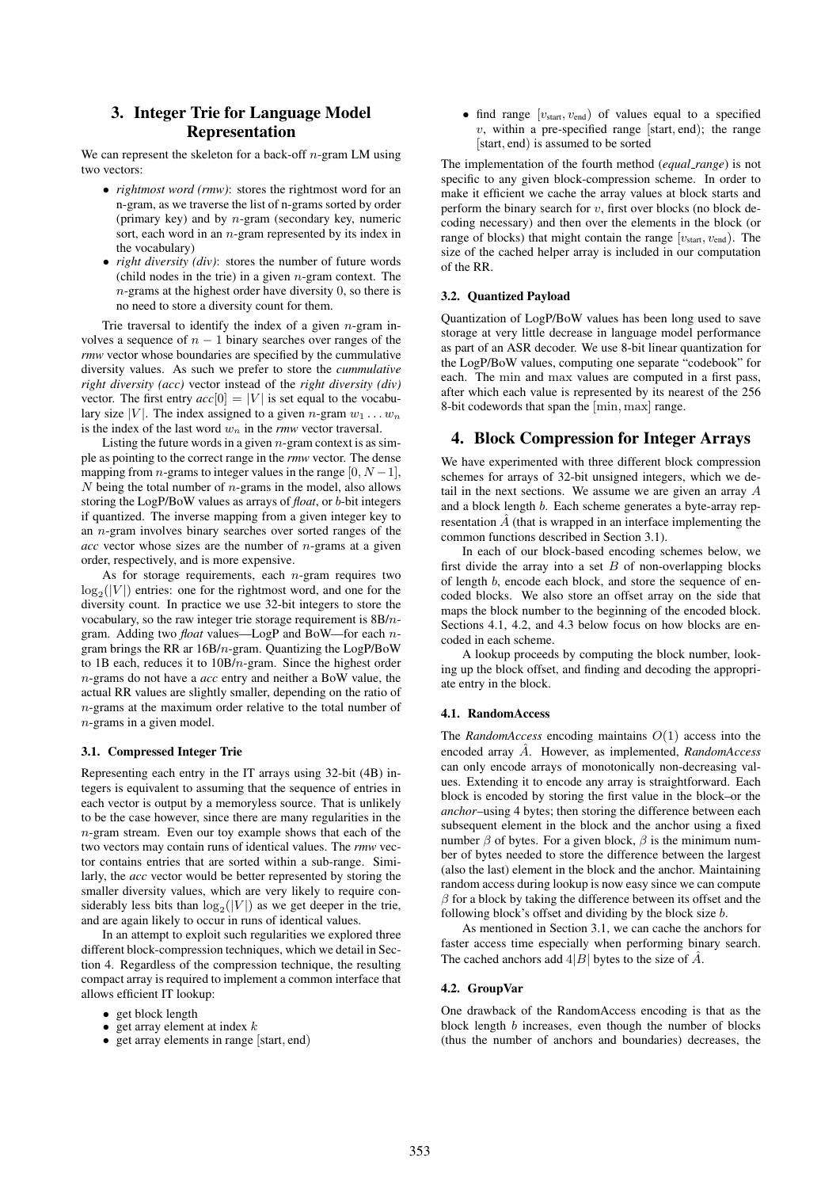# 3. Integer Trie for Language Model Representation

We can represent the skeleton for a back-off  $n$ -gram LM using two vectors:

- *rightmost word (rmw)*: stores the rightmost word for an n-gram, as we traverse the list of n-grams sorted by order (primary key) and by  $n$ -gram (secondary key, numeric sort, each word in an  $n$ -gram represented by its index in the vocabulary)
- *right diversity (div)*: stores the number of future words (child nodes in the trie) in a given  $n$ -gram context. The  $n$ -grams at the highest order have diversity 0, so there is no need to store a diversity count for them.

Trie traversal to identify the index of a given  $n$ -gram involves a sequence of  $n - 1$  binary searches over ranges of the *rmw* vector whose boundaries are specified by the cummulative diversity values. As such we prefer to store the *cummulative right diversity (acc)* vector instead of the *right diversity (div)* vector. The first entry  $acc[0] = |V|$  is set equal to the vocabulary size |V|. The index assigned to a given n-gram  $w_1 \dots w_n$ is the index of the last word  $w_n$  in the *rmw* vector traversal.

Listing the future words in a given  $n$ -gram context is as simple as pointing to the correct range in the *rmw* vector. The dense mapping from *n*-grams to integer values in the range  $[0, N-1]$ ,  $N$  being the total number of  $n$ -grams in the model, also allows storing the LogP/BoW values as arrays of *float*, or b-bit integers if quantized. The inverse mapping from a given integer key to an  $n$ -gram involves binary searches over sorted ranges of the  $acc$  vector whose sizes are the number of  $n$ -grams at a given order, respectively, and is more expensive.

As for storage requirements, each  $n$ -gram requires two  $log_2(|V|)$  entries: one for the rightmost word, and one for the diversity count. In practice we use 32-bit integers to store the vocabulary, so the raw integer trie storage requirement is  $8B/n$ gram. Adding two *float* values—LogP and BoW—for each ngram brings the RR ar 16B/n-gram. Quantizing the LogP/BoW to 1B each, reduces it to 10B/n-gram. Since the highest order n-grams do not have a *acc* entry and neither a BoW value, the actual RR values are slightly smaller, depending on the ratio of n-grams at the maximum order relative to the total number of n-grams in a given model.

#### 3.1. Compressed Integer Trie

Representing each entry in the IT arrays using 32-bit (4B) integers is equivalent to assuming that the sequence of entries in each vector is output by a memoryless source. That is unlikely to be the case however, since there are many regularities in the  $n$ -gram stream. Even our toy example shows that each of the two vectors may contain runs of identical values. The *rmw* vector contains entries that are sorted within a sub-range. Similarly, the *acc* vector would be better represented by storing the smaller diversity values, which are very likely to require considerably less bits than  $log_2(|V|)$  as we get deeper in the trie, and are again likely to occur in runs of identical values.

In an attempt to exploit such regularities we explored three different block-compression techniques, which we detail in Section 4. Regardless of the compression technique, the resulting compact array is required to implement a common interface that allows efficient IT lookup:

- get block length
- $\bullet~$  get array element at index  $k$
- get array elements in range [start, end)

• find range  $[v_{\text{start}}, v_{\text{end}}]$  of values equal to a specified  $v$ , within a pre-specified range [start, end); the range [start, end) is assumed to be sorted

The implementation of the fourth method (*equal range*) is not specific to any given block-compression scheme. In order to make it efficient we cache the array values at block starts and perform the binary search for  $v$ , first over blocks (no block decoding necessary) and then over the elements in the block (or range of blocks) that might contain the range  $[v<sub>start</sub>, v<sub>end</sub>]$ . The size of the cached helper array is included in our computation of the RR.

#### 3.2. Quantized Payload

Quantization of LogP/BoW values has been long used to save storage at very little decrease in language model performance as part of an ASR decoder. We use 8-bit linear quantization for the LogP/BoW values, computing one separate "codebook" for each. The min and max values are computed in a first pass, after which each value is represented by its nearest of the 256 8-bit codewords that span the [min, max] range.

### 4. Block Compression for Integer Arrays

We have experimented with three different block compression schemes for arrays of 32-bit unsigned integers, which we detail in the next sections. We assume we are given an array A and a block length b. Each scheme generates a byte-array representation  $\hat{A}$  (that is wrapped in an interface implementing the common functions described in Section 3.1).

In each of our block-based encoding schemes below, we first divide the array into a set  $B$  of non-overlapping blocks of length b, encode each block, and store the sequence of encoded blocks. We also store an offset array on the side that maps the block number to the beginning of the encoded block. Sections 4.1, 4.2, and 4.3 below focus on how blocks are encoded in each scheme.

A lookup proceeds by computing the block number, looking up the block offset, and finding and decoding the appropriate entry in the block.

#### 4.1. RandomAccess

The *RandomAccess* encoding maintains  $O(1)$  access into the encoded array Aˆ. However, as implemented, *RandomAccess* can only encode arrays of monotonically non-decreasing values. Extending it to encode any array is straightforward. Each block is encoded by storing the first value in the block–or the *anchor*–using 4 bytes; then storing the difference between each subsequent element in the block and the anchor using a fixed number  $\beta$  of bytes. For a given block,  $\beta$  is the minimum number of bytes needed to store the difference between the largest (also the last) element in the block and the anchor. Maintaining random access during lookup is now easy since we can compute  $\beta$  for a block by taking the difference between its offset and the following block's offset and dividing by the block size b.

As mentioned in Section 3.1, we can cache the anchors for faster access time especially when performing binary search. The cached anchors add  $4|B|$  bytes to the size of  $\hat{A}$ .

#### 4.2. GroupVar

One drawback of the RandomAccess encoding is that as the block length b increases, even though the number of blocks (thus the number of anchors and boundaries) decreases, the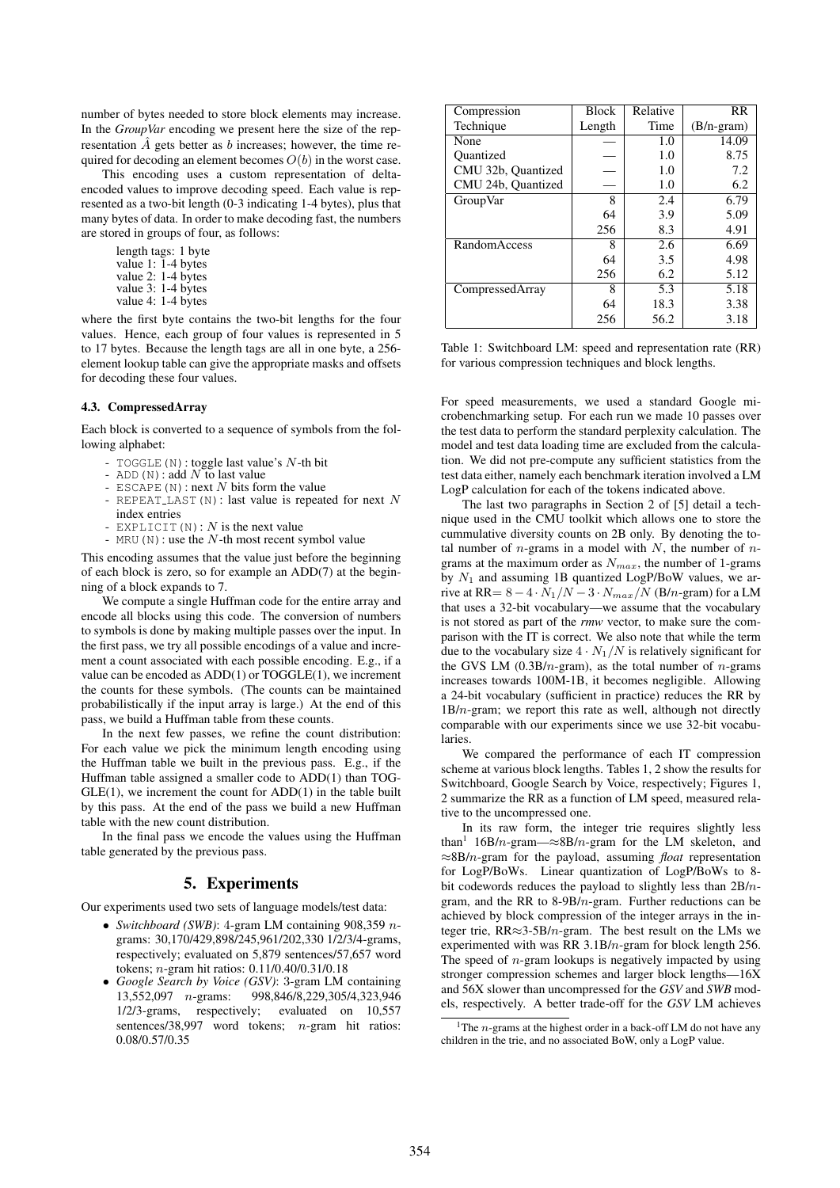number of bytes needed to store block elements may increase. In the *GroupVar* encoding we present here the size of the representation  $\tilde{A}$  gets better as  $b$  increases; however, the time required for decoding an element becomes  $O(b)$  in the worst case.

This encoding uses a custom representation of deltaencoded values to improve decoding speed. Each value is represented as a two-bit length (0-3 indicating 1-4 bytes), plus that many bytes of data. In order to make decoding fast, the numbers are stored in groups of four, as follows:

> length tags: 1 byte value 1: 1-4 bytes value 2: 1-4 bytes value 3: 1-4 bytes value 4: 1-4 bytes

where the first byte contains the two-bit lengths for the four values. Hence, each group of four values is represented in 5 to 17 bytes. Because the length tags are all in one byte, a 256 element lookup table can give the appropriate masks and offsets for decoding these four values.

### 4.3. CompressedArray

Each block is converted to a sequence of symbols from the following alphabet:

- 
- 
- TOGGLE(N): toggle last value's N-th bit<br>
ADD(N): add N to last value<br>
ESCAPE(N): next N bits form the value<br>
REPEAT LAST(N): last value is repeated for next N
- index entries<br>- EXPLICIT (N) : N is the next value
- 
- $\mathop{\rm MRU}\nolimits({\mathbb N})$  : use the  $N\text{-th most recent symbol value}$

This encoding assumes that the value just before the beginning of each block is zero, so for example an ADD(7) at the beginning of a block expands to 7.

We compute a single Huffman code for the entire array and encode all blocks using this code. The conversion of numbers to symbols is done by making multiple passes over the input. In the first pass, we try all possible encodings of a value and increment a count associated with each possible encoding. E.g., if a value can be encoded as ADD(1) or TOGGLE(1), we increment the counts for these symbols. (The counts can be maintained probabilistically if the input array is large.) At the end of this pass, we build a Huffman table from these counts.

In the next few passes, we refine the count distribution: For each value we pick the minimum length encoding using the Huffman table we built in the previous pass. E.g., if the Huffman table assigned a smaller code to ADD(1) than TOG- $GLE(1)$ , we increment the count for  $ADD(1)$  in the table built by this pass. At the end of the pass we build a new Huffman table with the new count distribution.

In the final pass we encode the values using the Huffman table generated by the previous pass.

### 5. Experiments

Our experiments used two sets of language models/test data:

- *Switchboard (SWB)*: 4-gram LM containing 908,359 ngrams: 30,170/429,898/245,961/202,330 1/2/3/4-grams, respectively; evaluated on 5,879 sentences/57,657 word tokens; n-gram hit ratios: 0.11/0.40/0.31/0.18
- *Google Search by Voice (GSV)*: 3-gram LM containing 998,846/8,229,305/4,323,946 1/2/3-grams, respectively; evaluated on 10,557 sentences/38,997 word tokens; n-gram hit ratios: 0.08/0.57/0.35

| Compression        | <b>Block</b> | Relative | <b>RR</b>    |
|--------------------|--------------|----------|--------------|
| Technique          | Length       | Time     | $(B/n-gram)$ |
| None               |              | 1.0      | 14.09        |
| <b>Ouantized</b>   |              | 1.0      | 8.75         |
| CMU 32b, Quantized |              | 1.0      | 7.2          |
| CMU 24b, Quantized |              | 1.0      | 6.2          |
| GroupVar           | 8            | 2.4      | 6.79         |
|                    | 64           | 3.9      | 5.09         |
|                    | 256          | 8.3      | 4.91         |
| RandomAccess       | 8            | 2.6      | 6.69         |
|                    | 64           | 3.5      | 4.98         |
|                    | 256          | 6.2      | 5.12         |
| CompressedArray    | 8            | 5.3      | 5.18         |
|                    | 64           | 18.3     | 3.38         |
|                    | 256          | 56.2     | 3.18         |

Table 1: Switchboard LM: speed and representation rate (RR) for various compression techniques and block lengths.

For speed measurements, we used a standard Google microbenchmarking setup. For each run we made 10 passes over the test data to perform the standard perplexity calculation. The model and test data loading time are excluded from the calculation. We did not pre-compute any sufficient statistics from the test data either, namely each benchmark iteration involved a LM LogP calculation for each of the tokens indicated above.

The last two paragraphs in Section 2 of [5] detail a technique used in the CMU toolkit which allows one to store the cummulative diversity counts on 2B only. By denoting the total number of  $n$ -grams in a model with  $N$ , the number of  $n$ grams at the maximum order as  $N_{max}$ , the number of 1-grams by  $N_1$  and assuming 1B quantized LogP/BoW values, we arrive at RR=  $8-4 \cdot N_1/N - 3 \cdot N_{max}/N$  (B/n-gram) for a LM that uses a 32-bit vocabulary—we assume that the vocabulary is not stored as part of the *rmw* vector, to make sure the comparison with the IT is correct. We also note that while the term due to the vocabulary size  $4 \cdot N_1/N$  is relatively significant for the GVS LM  $(0.3B/n-gram)$ , as the total number of *n*-grams increases towards 100M-1B, it becomes negligible. Allowing a 24-bit vocabulary (sufficient in practice) reduces the RR by  $1B/n$ -gram; we report this rate as well, although not directly comparable with our experiments since we use 32-bit vocabularies.

We compared the performance of each IT compression scheme at various block lengths. Tables 1, 2 show the results for Switchboard, Google Search by Voice, respectively; Figures 1, 2 summarize the RR as a function of LM speed, measured relative to the uncompressed one.

In its raw form, the integer trie requires slightly less than<sup>1</sup> 16B/n-gram—≈8B/n-gram for the LM skeleton, and ≈8B/n-gram for the payload, assuming *float* representation for LogP/BoWs. Linear quantization of LogP/BoWs to 8 bit codewords reduces the payload to slightly less than  $2B/n$ gram, and the RR to 8-9B/n-gram. Further reductions can be achieved by block compression of the integer arrays in the integer trie,  $RR \approx 3.5B/n$ -gram. The best result on the LMs we experimented with was RR 3.1B/n-gram for block length 256. The speed of  $n$ -gram lookups is negatively impacted by using stronger compression schemes and larger block lengths—16X and 56X slower than uncompressed for the *GSV* and *SWB* models, respectively. A better trade-off for the *GSV* LM achieves

<sup>&</sup>lt;sup>1</sup>The *n*-grams at the highest order in a back-off LM do not have any children in the trie, and no associated BoW, only a LogP value.